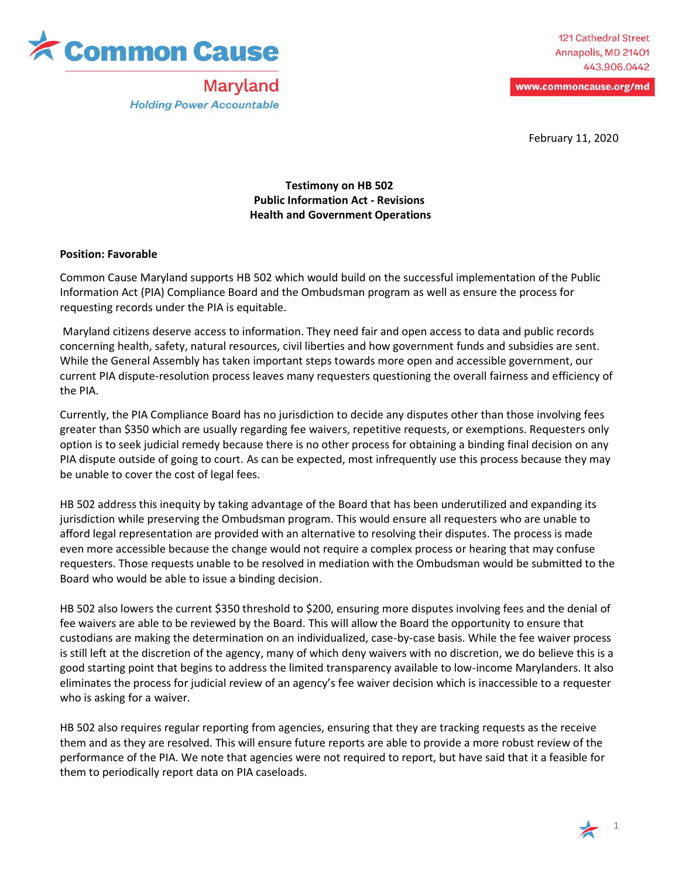

Maryland **Holding Power Accountable** 

www.commoncause.org/md

February 11, 2020

## **Testimony on HB 502 Public Information Act - Revisions Health and Government Operations**

## **Position: Favorable**

Common Cause Maryland supports HB 502 which would build on the successful implementation of the Public Information Act (PIA) Compliance Board and the Ombudsman program as well as ensure the process for requesting records under the PIA is equitable.

Maryland citizens deserve access to information. They need fair and open access to data and public records concerning health, safety, natural resources, civil liberties and how government funds and subsidies are sent. While the General Assembly has taken important steps towards more open and accessible government, our current PIA dispute-resolution process leaves many requesters questioning the overall fairness and efficiency of the PIA.

Currently, the PIA Compliance Board has no jurisdiction to decide any disputes other than those involving fees greater than \$350 which are usually regarding fee waivers, repetitive requests, or exemptions. Requesters only option is to seek judicial remedy because there is no other process for obtaining a binding final decision on any PIA dispute outside of going to court. As can be expected, most infrequently use this process because they may be unable to cover the cost of legal fees.

HB 502 address this inequity by taking advantage of the Board that has been underutilized and expanding its jurisdiction while preserving the Ombudsman program. This would ensure all requesters who are unable to afford legal representation are provided with an alternative to resolving their disputes. The process is made even more accessible because the change would not require a complex process or hearing that may confuse requesters. Those requests unable to be resolved in mediation with the Ombudsman would be submitted to the Board who would be able to issue a binding decision.

HB 502 also lowers the current \$350 threshold to \$200, ensuring more disputes involving fees and the denial of fee waivers are able to be reviewed by the Board. This will allow the Board the opportunity to ensure that custodians are making the determination on an individualized, case-by-case basis. While the fee waiver process is still left at the discretion of the agency, many of which deny waivers with no discretion, we do believe this is a good starting point that begins to address the limited transparency available to low-income Marylanders. It also eliminates the process for judicial review of an agency's fee waiver decision which is inaccessible to a requester who is asking for a waiver.

HB 502 also requires regular reporting from agencies, ensuring that they are tracking requests as the receive them and as they are resolved. This will ensure future reports are able to provide a more robust review of the performance of the PIA. We note that agencies were not required to report, but have said that it a feasible for them to periodically report data on PIA caseloads.

1